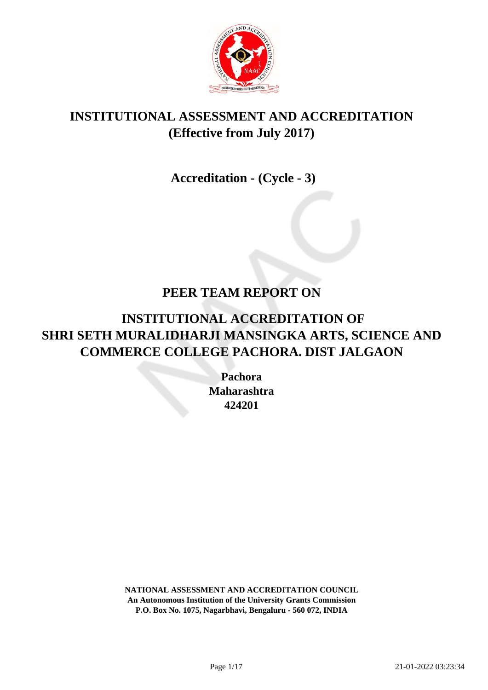

# **INSTITUTIONAL ASSESSMENT AND ACCREDITATION (Effective from July 2017)**

 **Accreditation - (Cycle - 3)**

# **PEER TEAM REPORT ON**

# **INSTITUTIONAL ACCREDITATION OF SHRI SETH MURALIDHARJI MANSINGKA ARTS, SCIENCE AND COMMERCE COLLEGE PACHORA. DIST JALGAON**

**Pachora Maharashtra 424201**

**NATIONAL ASSESSMENT AND ACCREDITATION COUNCIL An Autonomous Institution of the University Grants Commission P.O. Box No. 1075, Nagarbhavi, Bengaluru - 560 072, INDIA**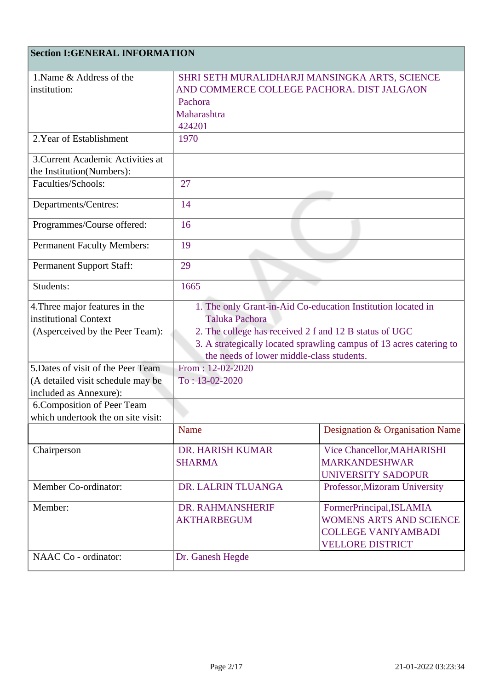## **Section I:GENERAL INFORMATION**

| 1. Name & Address of the           | SHRI SETH MURALIDHARJI MANSINGKA ARTS, SCIENCE                      |                                 |
|------------------------------------|---------------------------------------------------------------------|---------------------------------|
| institution:                       | AND COMMERCE COLLEGE PACHORA. DIST JALGAON                          |                                 |
|                                    | Pachora                                                             |                                 |
|                                    | Maharashtra                                                         |                                 |
|                                    | 424201                                                              |                                 |
| 2. Year of Establishment           | 1970                                                                |                                 |
| 3. Current Academic Activities at  |                                                                     |                                 |
| the Institution(Numbers):          |                                                                     |                                 |
| Faculties/Schools:                 | 27                                                                  |                                 |
|                                    |                                                                     |                                 |
| Departments/Centres:               | 14                                                                  |                                 |
| Programmes/Course offered:         | 16                                                                  |                                 |
| <b>Permanent Faculty Members:</b>  | 19                                                                  |                                 |
| <b>Permanent Support Staff:</b>    | 29                                                                  |                                 |
| Students:                          | 1665                                                                |                                 |
| 4. Three major features in the     | 1. The only Grant-in-Aid Co-education Institution located in        |                                 |
| institutional Context              | <b>Taluka Pachora</b>                                               |                                 |
| (Asperceived by the Peer Team):    | 2. The college has received 2 f and 12 B status of UGC              |                                 |
|                                    | 3. A strategically located sprawling campus of 13 acres catering to |                                 |
|                                    | the needs of lower middle-class students.                           |                                 |
| 5. Dates of visit of the Peer Team | From: 12-02-2020                                                    |                                 |
| (A detailed visit schedule may be  | $To: 13-02-2020$                                                    |                                 |
| included as Annexure):             |                                                                     |                                 |
| 6. Composition of Peer Team        |                                                                     |                                 |
| which undertook the on site visit: |                                                                     |                                 |
|                                    | Name                                                                | Designation & Organisation Name |
| Chairperson                        | DR. HARISH KUMAR                                                    | Vice Chancellor, MAHARISHI      |
|                                    | <b>SHARMA</b>                                                       | <b>MARKANDESHWAR</b>            |
|                                    |                                                                     | <b>UNIVERSITY SADOPUR</b>       |
| Member Co-ordinator:               | DR. LALRIN TLUANGA                                                  | Professor, Mizoram University   |
| Member:                            | DR. RAHMANSHERIF                                                    | FormerPrincipal, ISLAMIA        |
|                                    | <b>AKTHARBEGUM</b>                                                  | <b>WOMENS ARTS AND SCIENCE</b>  |
|                                    |                                                                     | <b>COLLEGE VANIYAMBADI</b>      |
|                                    |                                                                     | <b>VELLORE DISTRICT</b>         |
| NAAC Co - ordinator:               | Dr. Ganesh Hegde                                                    |                                 |
|                                    |                                                                     |                                 |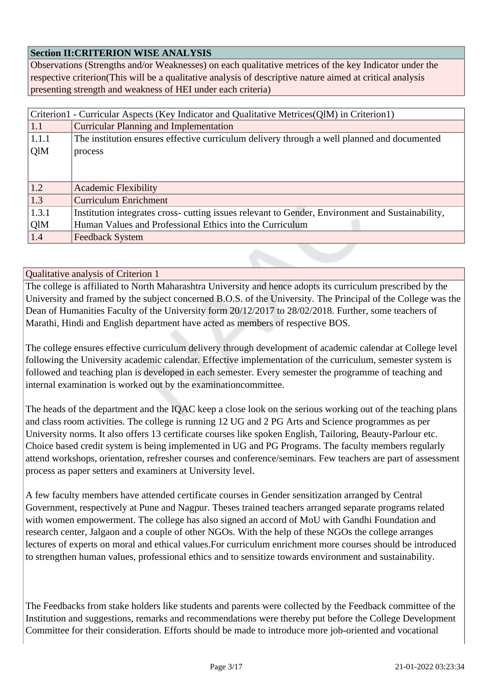### **Section II:CRITERION WISE ANALYSIS**

Observations (Strengths and/or Weaknesses) on each qualitative metrices of the key Indicator under the respective criterion(This will be a qualitative analysis of descriptive nature aimed at critical analysis presenting strength and weakness of HEI under each criteria)

| Criterion1 - Curricular Aspects (Key Indicator and Qualitative Metrices(QlM) in Criterion1) |                                                                                                  |  |
|---------------------------------------------------------------------------------------------|--------------------------------------------------------------------------------------------------|--|
| 1.1                                                                                         | <b>Curricular Planning and Implementation</b>                                                    |  |
| 1.1.1                                                                                       | The institution ensures effective curriculum delivery through a well planned and documented      |  |
| QlM                                                                                         | process                                                                                          |  |
|                                                                                             |                                                                                                  |  |
|                                                                                             |                                                                                                  |  |
| 1.2                                                                                         | <b>Academic Flexibility</b>                                                                      |  |
| 1.3                                                                                         | <b>Curriculum Enrichment</b>                                                                     |  |
| 1.3.1                                                                                       | Institution integrates cross- cutting issues relevant to Gender, Environment and Sustainability, |  |
| QlM                                                                                         | Human Values and Professional Ethics into the Curriculum                                         |  |
| 1.4                                                                                         | <b>Feedback System</b>                                                                           |  |

#### Qualitative analysis of Criterion 1

The college is affiliated to North Maharashtra University and hence adopts its curriculum prescribed by the University and framed by the subject concerned B.O.S. of the University. The Principal of the College was the Dean of Humanities Faculty of the University form 20/12/2017 to 28/02/2018. Further, some teachers of Marathi, Hindi and English department have acted as members of respective BOS.

The college ensures effective curriculum delivery through development of academic calendar at College level following the University academic calendar. Effective implementation of the curriculum, semester system is followed and teaching plan is developed in each semester. Every semester the programme of teaching and internal examination is worked out by the examinationcommittee.

The heads of the department and the IQAC keep a close look on the serious working out of the teaching plans and class room activities. The college is running 12 UG and 2 PG Arts and Science programmes as per University norms. It also offers 13 certificate courses like spoken English, Tailoring, Beauty-Parlour etc. Choice based credit system is being implemented in UG and PG Programs. The faculty members regularly attend workshops, orientation, refresher courses and conference/seminars. Few teachers are part of assessment process as paper setters and examiners at University level.

A few faculty members have attended certificate courses in Gender sensitization arranged by Central Government, respectively at Pune and Nagpur. Theses trained teachers arranged separate programs related with women empowerment. The college has also signed an accord of MoU with Gandhi Foundation and research center, Jalgaon and a couple of other NGOs. With the help of these NGOs the college arranges lectures of experts on moral and ethical values.For curriculum enrichment more courses should be introduced to strengthen human values, professional ethics and to sensitize towards environment and sustainability.

The Feedbacks from stake holders like students and parents were collected by the Feedback committee of the Institution and suggestions, remarks and recommendations were thereby put before the College Development Committee for their consideration. Efforts should be made to introduce more job-oriented and vocational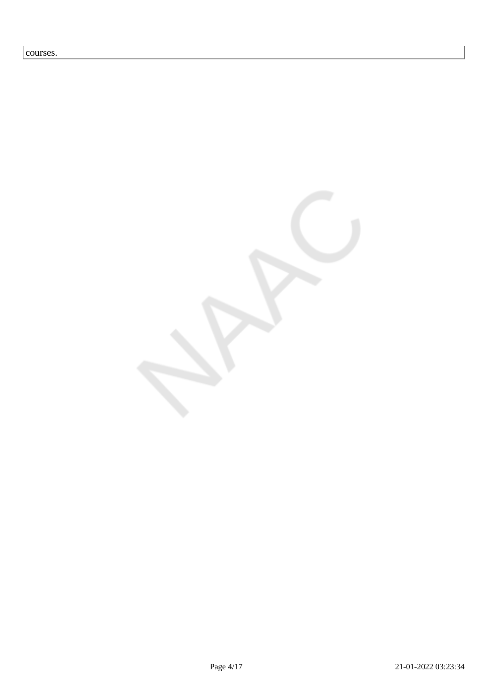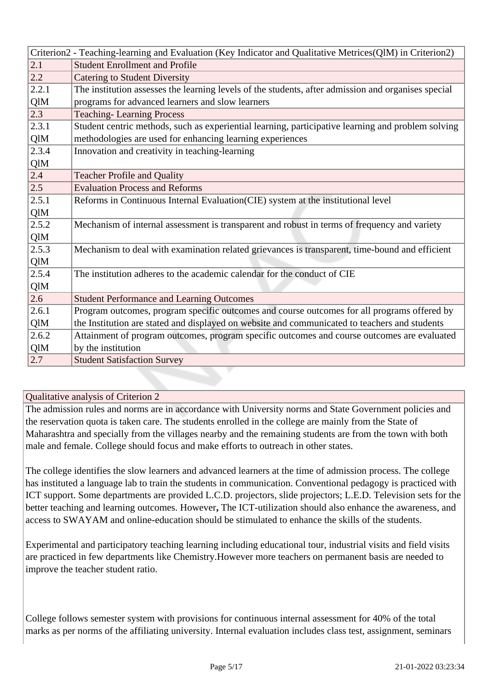|       | Criterion2 - Teaching-learning and Evaluation (Key Indicator and Qualitative Metrices(QlM) in Criterion2) |  |
|-------|-----------------------------------------------------------------------------------------------------------|--|
| 2.1   | <b>Student Enrollment and Profile</b>                                                                     |  |
| 2.2   | <b>Catering to Student Diversity</b>                                                                      |  |
| 2.2.1 | The institution assesses the learning levels of the students, after admission and organises special       |  |
| QlM   | programs for advanced learners and slow learners                                                          |  |
| 2.3   | <b>Teaching-Learning Process</b>                                                                          |  |
| 2.3.1 | Student centric methods, such as experiential learning, participative learning and problem solving        |  |
| QlM   | methodologies are used for enhancing learning experiences                                                 |  |
| 2.3.4 | Innovation and creativity in teaching-learning                                                            |  |
| QlM   |                                                                                                           |  |
| 2.4   | <b>Teacher Profile and Quality</b>                                                                        |  |
| 2.5   | <b>Evaluation Process and Reforms</b>                                                                     |  |
| 2.5.1 | Reforms in Continuous Internal Evaluation(CIE) system at the institutional level                          |  |
| QlM   |                                                                                                           |  |
| 2.5.2 | Mechanism of internal assessment is transparent and robust in terms of frequency and variety              |  |
| QlM   |                                                                                                           |  |
| 2.5.3 | Mechanism to deal with examination related grievances is transparent, time-bound and efficient            |  |
| QlM   |                                                                                                           |  |
| 2.5.4 | The institution adheres to the academic calendar for the conduct of CIE                                   |  |
| QlM   |                                                                                                           |  |
| 2.6   | <b>Student Performance and Learning Outcomes</b>                                                          |  |
| 2.6.1 | Program outcomes, program specific outcomes and course outcomes for all programs offered by               |  |
| QlM   | the Institution are stated and displayed on website and communicated to teachers and students             |  |
| 2.6.2 | Attainment of program outcomes, program specific outcomes and course outcomes are evaluated               |  |
| QlM   | by the institution                                                                                        |  |
| 2.7   | <b>Student Satisfaction Survey</b>                                                                        |  |

The admission rules and norms are in accordance with University norms and State Government policies and the reservation quota is taken care. The students enrolled in the college are mainly from the State of Maharashtra and specially from the villages nearby and the remaining students are from the town with both male and female. College should focus and make efforts to outreach in other states.

The college identifies the slow learners and advanced learners at the time of admission process. The college has instituted a language lab to train the students in communication. Conventional pedagogy is practiced with ICT support. Some departments are provided L.C.D. projectors, slide projectors; L.E.D. Television sets for the better teaching and learning outcomes. However**,** The ICT-utilization should also enhance the awareness, and access to SWAYAM and online-education should be stimulated to enhance the skills of the students.

Experimental and participatory teaching learning including educational tour, industrial visits and field visits are practiced in few departments like Chemistry.However more teachers on permanent basis are needed to improve the teacher student ratio.

College follows semester system with provisions for continuous internal assessment for 40% of the total marks as per norms of the affiliating university. Internal evaluation includes class test, assignment, seminars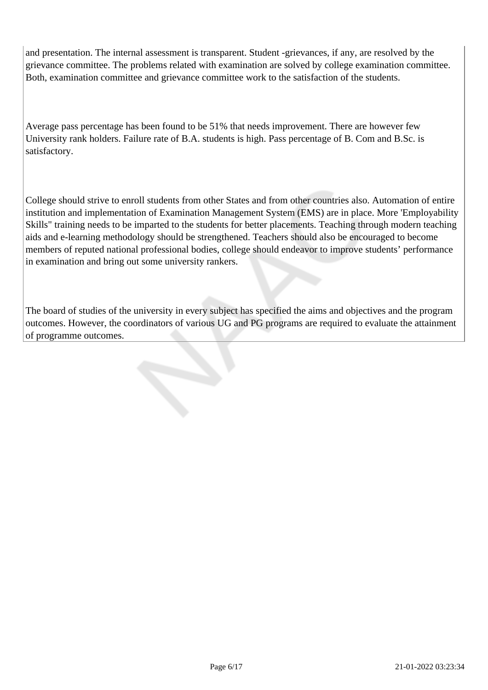and presentation. The internal assessment is transparent. Student -grievances, if any, are resolved by the grievance committee. The problems related with examination are solved by college examination committee. Both, examination committee and grievance committee work to the satisfaction of the students.

Average pass percentage has been found to be 51% that needs improvement. There are however few University rank holders. Failure rate of B.A. students is high. Pass percentage of B. Com and B.Sc. is satisfactory.

College should strive to enroll students from other States and from other countries also. Automation of entire institution and implementation of Examination Management System (EMS) are in place. More 'Employability Skills" training needs to be imparted to the students for better placements. Teaching through modern teaching aids and e-learning methodology should be strengthened. Teachers should also be encouraged to become members of reputed national professional bodies, college should endeavor to improve students' performance in examination and bring out some university rankers.

The board of studies of the university in every subject has specified the aims and objectives and the program outcomes. However, the coordinators of various UG and PG programs are required to evaluate the attainment of programme outcomes.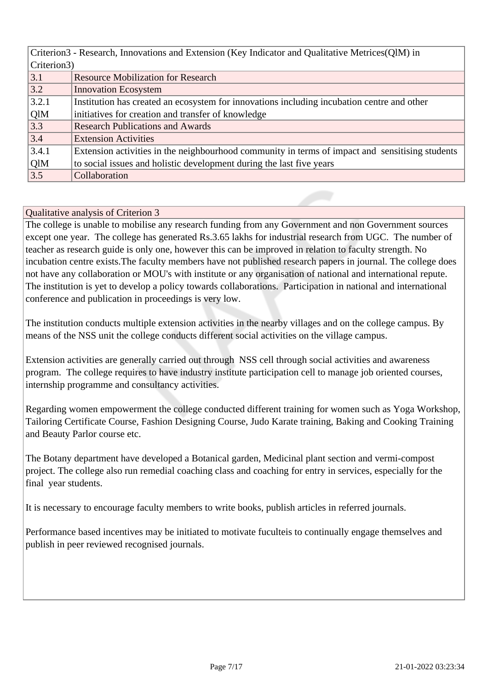| Criterion3 - Research, Innovations and Extension (Key Indicator and Qualitative Metrices (QIM) in |                                                                                                 |  |  |
|---------------------------------------------------------------------------------------------------|-------------------------------------------------------------------------------------------------|--|--|
|                                                                                                   | Criterion3)                                                                                     |  |  |
| 3.1                                                                                               | <b>Resource Mobilization for Research</b>                                                       |  |  |
| 3.2                                                                                               | <b>Innovation Ecosystem</b>                                                                     |  |  |
| 3.2.1                                                                                             | Institution has created an ecosystem for innovations including incubation centre and other      |  |  |
| QlM                                                                                               | initiatives for creation and transfer of knowledge                                              |  |  |
| 3.3                                                                                               | <b>Research Publications and Awards</b>                                                         |  |  |
| 3.4                                                                                               | <b>Extension Activities</b>                                                                     |  |  |
| 3.4.1                                                                                             | Extension activities in the neighbourhood community in terms of impact and sensitising students |  |  |
| QlM                                                                                               | to social issues and holistic development during the last five years                            |  |  |
| 3.5                                                                                               | Collaboration                                                                                   |  |  |

The college is unable to mobilise any research funding from any Government and non Government sources except one year. The college has generated Rs.3.65 lakhs for industrial research from UGC. The number of teacher as research guide is only one, however this can be improved in relation to faculty strength. No incubation centre exists.The faculty members have not published research papers in journal. The college does not have any collaboration or MOU's with institute or any organisation of national and international repute. The institution is yet to develop a policy towards collaborations. Participation in national and international conference and publication in proceedings is very low.

The institution conducts multiple extension activities in the nearby villages and on the college campus. By means of the NSS unit the college conducts different social activities on the village campus.

Extension activities are generally carried out through NSS cell through social activities and awareness program. The college requires to have industry institute participation cell to manage job oriented courses, internship programme and consultancy activities.

Regarding women empowerment the college conducted different training for women such as Yoga Workshop, Tailoring Certificate Course, Fashion Designing Course, Judo Karate training, Baking and Cooking Training and Beauty Parlor course etc.

The Botany department have developed a Botanical garden, Medicinal plant section and vermi-compost project. The college also run remedial coaching class and coaching for entry in services, especially for the final year students.

It is necessary to encourage faculty members to write books, publish articles in referred journals.

Performance based incentives may be initiated to motivate fuculteis to continually engage themselves and publish in peer reviewed recognised journals.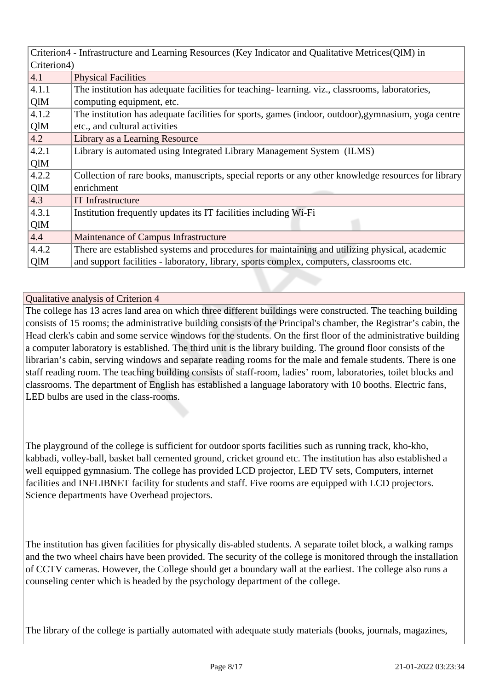|             | Criterion4 - Infrastructure and Learning Resources (Key Indicator and Qualitative Metrices (QIM) in |  |  |
|-------------|-----------------------------------------------------------------------------------------------------|--|--|
| Criterion4) |                                                                                                     |  |  |
| 4.1         | <b>Physical Facilities</b>                                                                          |  |  |
| 4.1.1       | The institution has adequate facilities for teaching-learning. viz., classrooms, laboratories,      |  |  |
| QlM         | computing equipment, etc.                                                                           |  |  |
| 4.1.2       | The institution has adequate facilities for sports, games (indoor, outdoor), gymnasium, yoga centre |  |  |
| QlM         | etc., and cultural activities                                                                       |  |  |
| 4.2         | Library as a Learning Resource                                                                      |  |  |
| 4.2.1       | Library is automated using Integrated Library Management System (ILMS)                              |  |  |
| QlM         |                                                                                                     |  |  |
| 4.2.2       | Collection of rare books, manuscripts, special reports or any other knowledge resources for library |  |  |
| QlM         | enrichment                                                                                          |  |  |
| 4.3         | <b>IT</b> Infrastructure                                                                            |  |  |
| 4.3.1       | Institution frequently updates its IT facilities including Wi-Fi                                    |  |  |
| QlM         |                                                                                                     |  |  |
| 4.4         | Maintenance of Campus Infrastructure                                                                |  |  |
| 4.4.2       | There are established systems and procedures for maintaining and utilizing physical, academic       |  |  |
| QlM         | and support facilities - laboratory, library, sports complex, computers, classrooms etc.            |  |  |

The college has 13 acres land area on which three different buildings were constructed. The teaching building consists of 15 rooms; the administrative building consists of the Principal's chamber, the Registrar's cabin, the Head clerk's cabin and some service windows for the students. On the first floor of the administrative building a computer laboratory is established. The third unit is the library building. The ground floor consists of the librarian's cabin, serving windows and separate reading rooms for the male and female students. There is one staff reading room. The teaching building consists of staff-room, ladies' room, laboratories, toilet blocks and classrooms. The department of English has established a language laboratory with 10 booths. Electric fans, LED bulbs are used in the class-rooms.

The playground of the college is sufficient for outdoor sports facilities such as running track, kho-kho, kabbadi, volley-ball, basket ball cemented ground, cricket ground etc. The institution has also established a well equipped gymnasium. The college has provided LCD projector, LED TV sets, Computers, internet facilities and INFLIBNET facility for students and staff. Five rooms are equipped with LCD projectors. Science departments have Overhead projectors.

The institution has given facilities for physically dis-abled students. A separate toilet block, a walking ramps and the two wheel chairs have been provided. The security of the college is monitored through the installation of CCTV cameras. However, the College should get a boundary wall at the earliest. The college also runs a counseling center which is headed by the psychology department of the college.

The library of the college is partially automated with adequate study materials (books, journals, magazines,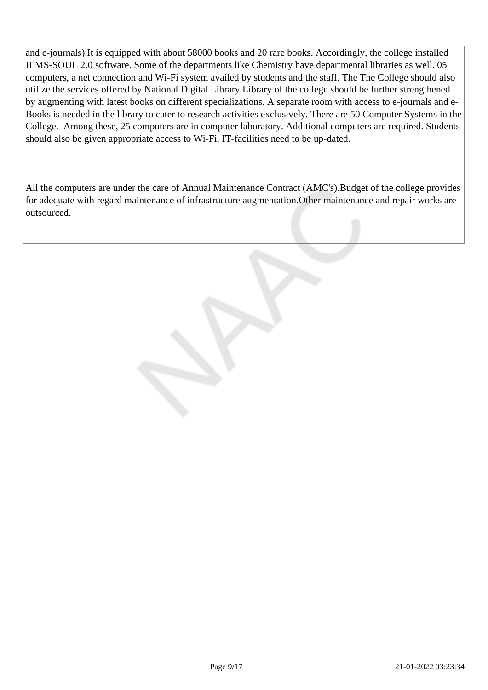and e-journals).It is equipped with about 58000 books and 20 rare books. Accordingly, the college installed ILMS-SOUL 2.0 software. Some of the departments like Chemistry have departmental libraries as well. 05 computers, a net connection and Wi-Fi system availed by students and the staff. The The College should also utilize the services offered by National Digital Library.Library of the college should be further strengthened by augmenting with latest books on different specializations. A separate room with access to e-journals and e-Books is needed in the library to cater to research activities exclusively. There are 50 Computer Systems in the College. Among these, 25 computers are in computer laboratory. Additional computers are required. Students should also be given appropriate access to Wi-Fi. IT-facilities need to be up-dated.

All the computers are under the care of Annual Maintenance Contract (AMC's). Budget of the college provides for adequate with regard maintenance of infrastructure augmentation.Other maintenance and repair works are outsourced.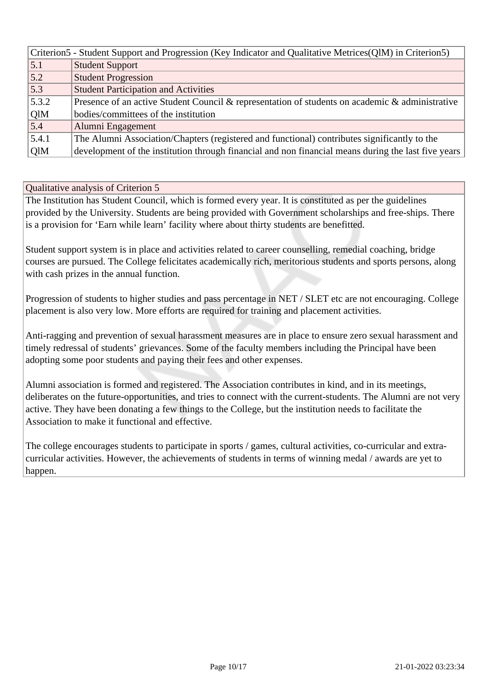| Criterion5 - Student Support and Progression (Key Indicator and Qualitative Metrices (QIM) in Criterion5) |                                                                                                     |  |
|-----------------------------------------------------------------------------------------------------------|-----------------------------------------------------------------------------------------------------|--|
| 5.1                                                                                                       | <b>Student Support</b>                                                                              |  |
| 5.2                                                                                                       | <b>Student Progression</b>                                                                          |  |
| 5.3                                                                                                       | <b>Student Participation and Activities</b>                                                         |  |
| 5.3.2                                                                                                     | Presence of an active Student Council & representation of students on academic & administrative     |  |
| QlM                                                                                                       | bodies/committees of the institution                                                                |  |
| 5.4                                                                                                       | Alumni Engagement                                                                                   |  |
| 5.4.1                                                                                                     | The Alumni Association/Chapters (registered and functional) contributes significantly to the        |  |
| QlM                                                                                                       | development of the institution through financial and non financial means during the last five years |  |

The Institution has Student Council, which is formed every year. It is constituted as per the guidelines provided by the University. Students are being provided with Government scholarships and free-ships. There is a provision for 'Earn while learn' facility where about thirty students are benefitted.

Student support system is in place and activities related to career counselling, remedial coaching, bridge courses are pursued. The College felicitates academically rich, meritorious students and sports persons, along with cash prizes in the annual function.

Progression of students to higher studies and pass percentage in NET / SLET etc are not encouraging. College placement is also very low. More efforts are required for training and placement activities.

Anti-ragging and prevention of sexual harassment measures are in place to ensure zero sexual harassment and timely redressal of students' grievances. Some of the faculty members including the Principal have been adopting some poor students and paying their fees and other expenses.

Alumni association is formed and registered. The Association contributes in kind, and in its meetings, deliberates on the future-opportunities, and tries to connect with the current-students. The Alumni are not very active. They have been donating a few things to the College, but the institution needs to facilitate the Association to make it functional and effective.

The college encourages students to participate in sports / games, cultural activities, co-curricular and extracurricular activities. However, the achievements of students in terms of winning medal / awards are yet to happen.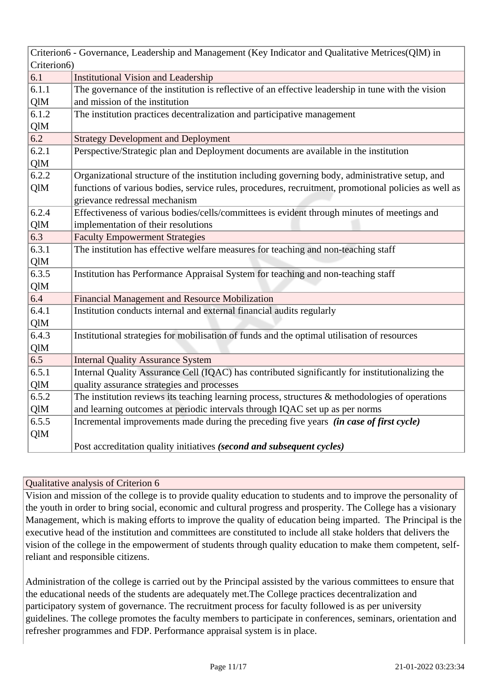|             | Criterion6 - Governance, Leadership and Management (Key Indicator and Qualitative Metrices(QlM) in   |  |  |
|-------------|------------------------------------------------------------------------------------------------------|--|--|
| Criterion6) |                                                                                                      |  |  |
| 6.1         | <b>Institutional Vision and Leadership</b>                                                           |  |  |
| 6.1.1       | The governance of the institution is reflective of an effective leadership in tune with the vision   |  |  |
| QlM         | and mission of the institution                                                                       |  |  |
| 6.1.2       | The institution practices decentralization and participative management                              |  |  |
| QlM         |                                                                                                      |  |  |
| 6.2         | <b>Strategy Development and Deployment</b>                                                           |  |  |
| 6.2.1       | Perspective/Strategic plan and Deployment documents are available in the institution                 |  |  |
| QlM         |                                                                                                      |  |  |
| 6.2.2       | Organizational structure of the institution including governing body, administrative setup, and      |  |  |
| QlM         | functions of various bodies, service rules, procedures, recruitment, promotional policies as well as |  |  |
|             | grievance redressal mechanism                                                                        |  |  |
| 6.2.4       | Effectiveness of various bodies/cells/committees is evident through minutes of meetings and          |  |  |
| QlM         | implementation of their resolutions                                                                  |  |  |
| 6.3         | <b>Faculty Empowerment Strategies</b>                                                                |  |  |
| 6.3.1       | The institution has effective welfare measures for teaching and non-teaching staff                   |  |  |
| QlM         |                                                                                                      |  |  |
| 6.3.5       | Institution has Performance Appraisal System for teaching and non-teaching staff                     |  |  |
| QlM         |                                                                                                      |  |  |
| 6.4         | <b>Financial Management and Resource Mobilization</b>                                                |  |  |
| 6.4.1       | Institution conducts internal and external financial audits regularly                                |  |  |
| QlM         |                                                                                                      |  |  |
| 6.4.3       | Institutional strategies for mobilisation of funds and the optimal utilisation of resources          |  |  |
| QlM         |                                                                                                      |  |  |
| 6.5         | <b>Internal Quality Assurance System</b>                                                             |  |  |
| 6.5.1       | Internal Quality Assurance Cell (IQAC) has contributed significantly for institutionalizing the      |  |  |
| QlM         | quality assurance strategies and processes                                                           |  |  |
| 6.5.2       | The institution reviews its teaching learning process, structures $\&$ methodologies of operations   |  |  |
| QlM         | and learning outcomes at periodic intervals through IQAC set up as per norms                         |  |  |
| 6.5.5       | Incremental improvements made during the preceding five years (in case of first cycle)               |  |  |
| QlM         |                                                                                                      |  |  |
|             | Post accreditation quality initiatives (second and subsequent cycles)                                |  |  |

Vision and mission of the college is to provide quality education to students and to improve the personality of the youth in order to bring social, economic and cultural progress and prosperity. The College has a visionary Management, which is making efforts to improve the quality of education being imparted. The Principal is the executive head of the institution and committees are constituted to include all stake holders that delivers the vision of the college in the empowerment of students through quality education to make them competent, selfreliant and responsible citizens.

Administration of the college is carried out by the Principal assisted by the various committees to ensure that the educational needs of the students are adequately met.The College practices decentralization and participatory system of governance. The recruitment process for faculty followed is as per university guidelines. The college promotes the faculty members to participate in conferences, seminars, orientation and refresher programmes and FDP. Performance appraisal system is in place.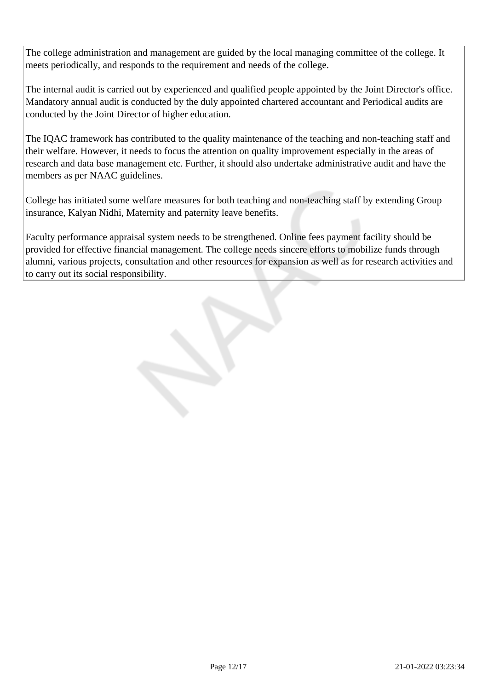The college administration and management are guided by the local managing committee of the college. It meets periodically, and responds to the requirement and needs of the college.

The internal audit is carried out by experienced and qualified people appointed by the Joint Director's office. Mandatory annual audit is conducted by the duly appointed chartered accountant and Periodical audits are conducted by the Joint Director of higher education.

The IQAC framework has contributed to the quality maintenance of the teaching and non-teaching staff and their welfare. However, it needs to focus the attention on quality improvement especially in the areas of research and data base management etc. Further, it should also undertake administrative audit and have the members as per NAAC guidelines.

College has initiated some welfare measures for both teaching and non-teaching staff by extending Group insurance, Kalyan Nidhi, Maternity and paternity leave benefits.

Faculty performance appraisal system needs to be strengthened. Online fees payment facility should be provided for effective financial management. The college needs sincere efforts to mobilize funds through alumni, various projects, consultation and other resources for expansion as well as for research activities and to carry out its social responsibility.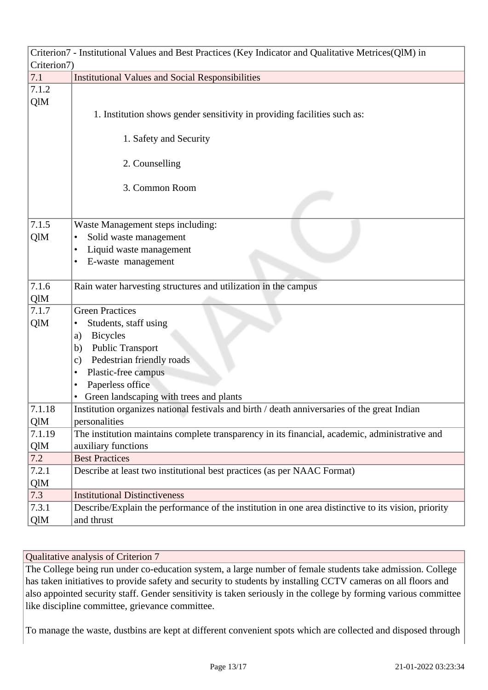|             | Criterion7 - Institutional Values and Best Practices (Key Indicator and Qualitative Metrices(QlM) in |  |  |
|-------------|------------------------------------------------------------------------------------------------------|--|--|
| Criterion7) |                                                                                                      |  |  |
| 7.1         | <b>Institutional Values and Social Responsibilities</b>                                              |  |  |
| 7.1.2       |                                                                                                      |  |  |
| QlM         |                                                                                                      |  |  |
|             | 1. Institution shows gender sensitivity in providing facilities such as:                             |  |  |
|             |                                                                                                      |  |  |
|             | 1. Safety and Security                                                                               |  |  |
|             |                                                                                                      |  |  |
|             | 2. Counselling                                                                                       |  |  |
|             |                                                                                                      |  |  |
|             | 3. Common Room                                                                                       |  |  |
|             |                                                                                                      |  |  |
|             |                                                                                                      |  |  |
| 7.1.5       | Waste Management steps including:                                                                    |  |  |
| QlM         | Solid waste management<br>٠                                                                          |  |  |
|             | Liquid waste management<br>٠                                                                         |  |  |
|             | E-waste management<br>$\bullet$                                                                      |  |  |
| 7.1.6       | Rain water harvesting structures and utilization in the campus                                       |  |  |
| QlM         |                                                                                                      |  |  |
| 7.1.7       | <b>Green Practices</b>                                                                               |  |  |
| QlM         | Students, staff using                                                                                |  |  |
|             | <b>Bicycles</b>                                                                                      |  |  |
|             | a)<br><b>Public Transport</b><br>b)                                                                  |  |  |
|             | Pedestrian friendly roads<br>$\mathbf{c})$                                                           |  |  |
|             | Plastic-free campus<br>٠                                                                             |  |  |
|             | Paperless office<br>$\bullet$                                                                        |  |  |
|             | Green landscaping with trees and plants                                                              |  |  |
| 7.1.18      | Institution organizes national festivals and birth / death anniversaries of the great Indian         |  |  |
| QlM         | personalities                                                                                        |  |  |
| 7.1.19      | The institution maintains complete transparency in its financial, academic, administrative and       |  |  |
| QlM         | auxiliary functions                                                                                  |  |  |
| 7.2         | <b>Best Practices</b>                                                                                |  |  |
| 7.2.1       | Describe at least two institutional best practices (as per NAAC Format)                              |  |  |
| QlM         |                                                                                                      |  |  |
| 7.3         | <b>Institutional Distinctiveness</b>                                                                 |  |  |
| 7.3.1       | Describe/Explain the performance of the institution in one area distinctive to its vision, priority  |  |  |
| QlM         | and thrust                                                                                           |  |  |

The College being run under co-education system, a large number of female students take admission. College has taken initiatives to provide safety and security to students by installing CCTV cameras on all floors and also appointed security staff. Gender sensitivity is taken seriously in the college by forming various committee like discipline committee, grievance committee.

To manage the waste, dustbins are kept at different convenient spots which are collected and disposed through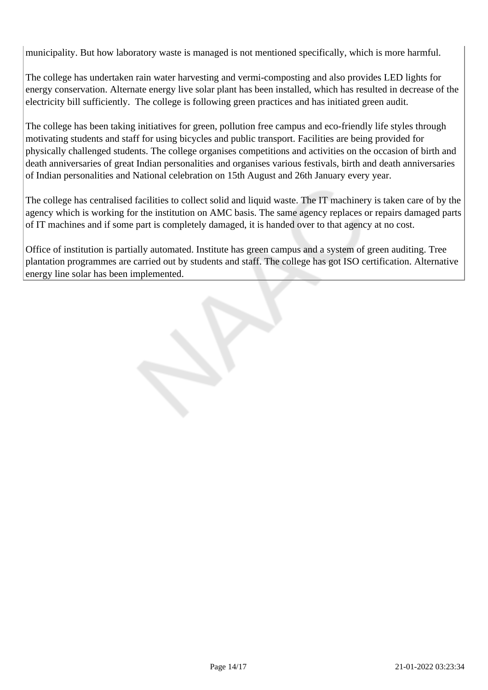municipality. But how laboratory waste is managed is not mentioned specifically, which is more harmful.

The college has undertaken rain water harvesting and vermi-composting and also provides LED lights for energy conservation. Alternate energy live solar plant has been installed, which has resulted in decrease of the electricity bill sufficiently. The college is following green practices and has initiated green audit.

The college has been taking initiatives for green, pollution free campus and eco-friendly life styles through motivating students and staff for using bicycles and public transport. Facilities are being provided for physically challenged students. The college organises competitions and activities on the occasion of birth and death anniversaries of great Indian personalities and organises various festivals, birth and death anniversaries of Indian personalities and National celebration on 15th August and 26th January every year.

The college has centralised facilities to collect solid and liquid waste. The IT machinery is taken care of by the agency which is working for the institution on AMC basis. The same agency replaces or repairs damaged parts of IT machines and if some part is completely damaged, it is handed over to that agency at no cost.

Office of institution is partially automated. Institute has green campus and a system of green auditing. Tree plantation programmes are carried out by students and staff. The college has got ISO certification. Alternative energy line solar has been implemented.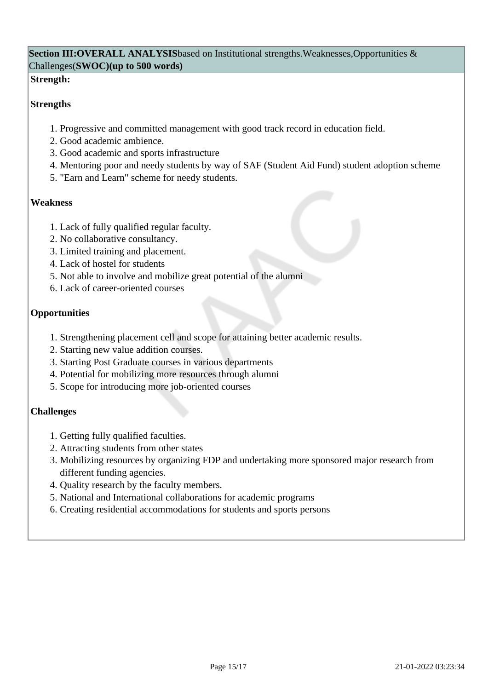## **Section III:OVERALL ANALYSIS**based on Institutional strengths.Weaknesses,Opportunities & Challenges(**SWOC)(up to 500 words)**

### **Strength:**

## **Strengths**

- 1. Progressive and committed management with good track record in education field.
- 2. Good academic ambience.
- 3. Good academic and sports infrastructure
- 4. Mentoring poor and needy students by way of SAF (Student Aid Fund) student adoption scheme
- 5. "Earn and Learn" scheme for needy students.

### **Weakness**

- 1. Lack of fully qualified regular faculty.
- 2. No collaborative consultancy.
- 3. Limited training and placement.
- 4. Lack of hostel for students
- 5. Not able to involve and mobilize great potential of the alumni
- 6. Lack of career-oriented courses

## **Opportunities**

- 1. Strengthening placement cell and scope for attaining better academic results.
- 2. Starting new value addition courses.
- 3. Starting Post Graduate courses in various departments
- 4. Potential for mobilizing more resources through alumni
- 5. Scope for introducing more job-oriented courses

## **Challenges**

- 1. Getting fully qualified faculties.
- 2. Attracting students from other states
- 3. Mobilizing resources by organizing FDP and undertaking more sponsored major research from different funding agencies.
- 4. Quality research by the faculty members.
- 5. National and International collaborations for academic programs
- 6. Creating residential accommodations for students and sports persons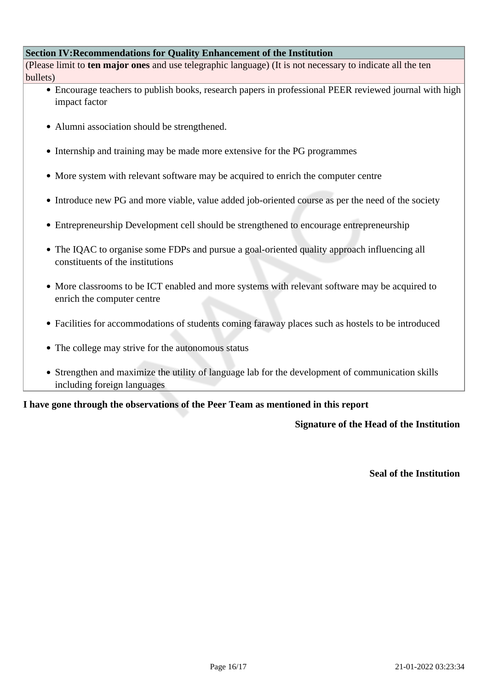#### **Section IV:Recommendations for Quality Enhancement of the Institution**

(Please limit to **ten major ones** and use telegraphic language) (It is not necessary to indicate all the ten bullets)

- Encourage teachers to publish books, research papers in professional PEER reviewed journal with high impact factor
- Alumni association should be strengthened.
- Internship and training may be made more extensive for the PG programmes
- More system with relevant software may be acquired to enrich the computer centre
- Introduce new PG and more viable, value added job-oriented course as per the need of the society
- Entrepreneurship Development cell should be strengthened to encourage entrepreneurship
- The IQAC to organise some FDPs and pursue a goal-oriented quality approach influencing all constituents of the institutions
- More classrooms to be ICT enabled and more systems with relevant software may be acquired to enrich the computer centre
- Facilities for accommodations of students coming faraway places such as hostels to be introduced
- The college may strive for the autonomous status
- Strengthen and maximize the utility of language lab for the development of communication skills including foreign languages

#### **I have gone through the observations of the Peer Team as mentioned in this report**

#### **Signature of the Head of the Institution**

**Seal of the Institution**